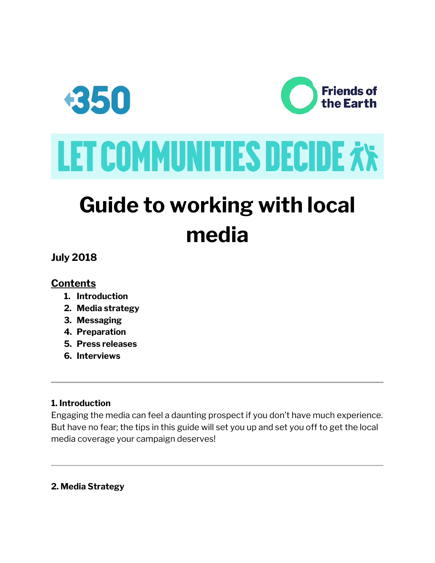

# **Guide to working with local media**

**July 2018**

## **Contents**

- **1. Introduction**
- **2. Media strategy**
- **3. Messaging**
- **4. Preparation**
- **5. Press releases**
- **6. Interviews**

#### **1. Introduction**

Engaging the media can feel a daunting prospect if you don't have much experience. But have no fear; the tips in this guide will set you up and set you off to get the local media coverage your campaign deserves!

#### **2. Media Strategy**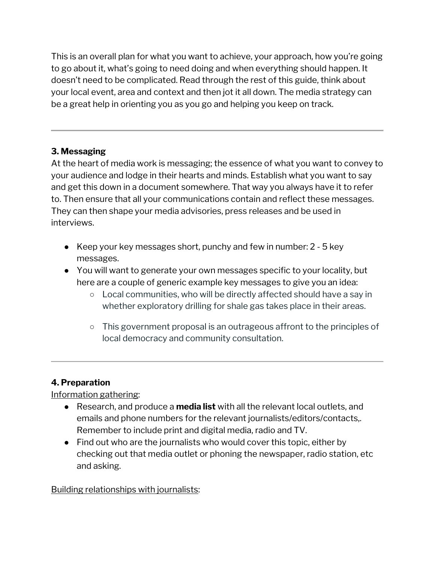This is an overall plan for what you want to achieve, your approach, how you're going to go about it, what's going to need doing and when everything should happen. It doesn't need to be complicated. Read through the rest of this guide, think about your local event, area and context and then jot it all down. The media strategy can be a great help in orienting you as you go and helping you keep on track.

## **3. Messaging**

At the heart of media work is messaging; the essence of what you want to convey to your audience and lodge in their hearts and minds. Establish what you want to say and get this down in a document somewhere. That way you always have it to refer to. Then ensure that all your communications contain and reflect these messages. They can then shape your media advisories, press releases and be used in interviews.

- Keep your key messages short, punchy and few in number: 2 5 key messages.
- You will want to generate your own messages specific to your locality, but here are a couple of generic example key messages to give you an idea:
	- Local communities, who will be directly affected should have a say in whether exploratory drilling for shale gas takes place in their areas.
	- This government proposal is an outrageous affront to the principles of local democracy and community consultation.

## **4. Preparation**

Information gathering:

- Research, and produce a **media list** with all the relevant local outlets, and emails and phone numbers for the relevant journalists/editors/contacts,. Remember to include print and digital media, radio and TV.
- Find out who are the journalists who would cover this topic, either by checking out that media outlet or phoning the newspaper, radio station, etc and asking.

Building relationships with journalists: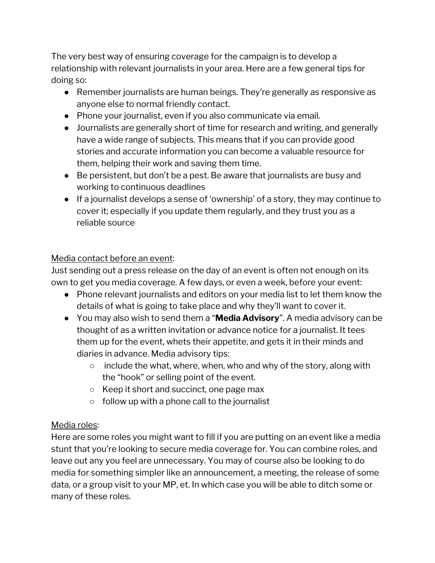The very best way of ensuring coverage for the campaign is to develop a relationship with relevant journalists in your area. Here are a few general tips for doing so:

- Remember journalists are human beings. They're generally as responsive as anyone else to normal friendly contact.
- Phone your journalist, even if you also communicate via email.
- Journalists are generally short of time for research and writing, and generally have a wide range of subjects. This means that if you can provide good stories and accurate information you can become a valuable resource for them, helping their work and saving them time.
- Be persistent, but don't be a pest. Be aware that journalists are busy and working to continuous deadlines
- If a journalist develops a sense of 'ownership' of a story, they may continue to cover it; especially if you update them regularly, and they trust you as a reliable source

#### Media contact before an event:

Just sending out a press release on the day of an event is often not enough on its own to get you media coverage. A few days, or even a week, before your event:

- Phone relevant journalists and editors on your media list to let them know the details of what is going to take place and why they'll want to cover it.
- You may also wish to send them a "**Media Advisory**". A media advisory can be thought of as a written invitation or advance notice for a journalist. It tees them up for the event, whets their appetite, and gets it in their minds and diaries in advance. Media advisory tips:
	- $\circ$  include the what, where, when, who and why of the story, along with the "hook" or selling point of the event.
	- Keep it short and succinct, one page max
	- $\circ$  follow up with a phone call to the journalist

## Media roles:

Here are some roles you might want to fill if you are putting on an event like a media stunt that you're looking to secure media coverage for. You can combine roles, and leave out any you feel are unnecessary. You may of course also be looking to do media for something simpler like an announcement, a meeting, the release of some data, or a group visit to your MP, et. In which case you will be able to ditch some or many of these roles.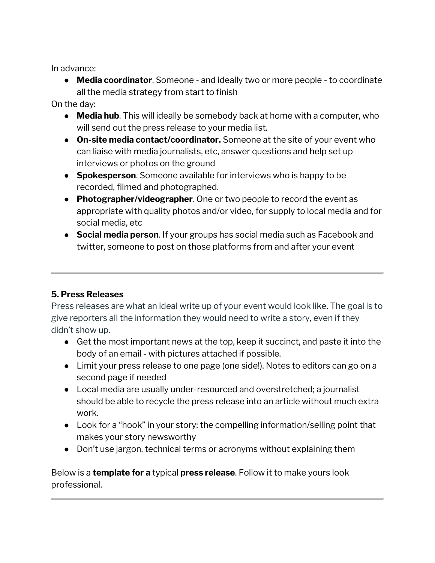In advance:

● **Media coordinator**. Someone - and ideally two or more people - to coordinate all the media strategy from start to finish

On the day:

- **Media hub**. This will ideally be somebody back at home with a computer, who will send out the press release to your media list.
- **On-site media contact/coordinator.** Someone at the site of your event who can liaise with media journalists, etc, answer questions and help set up interviews or photos on the ground
- **Spokesperson**. Someone available for interviews who is happy to be recorded, filmed and photographed.
- **Photographer/videographer**. One or two people to record the event as appropriate with quality photos and/or video, for supply to local media and for social media, etc
- **Social media person**. If your groups has social media such as Facebook and twitter, someone to post on those platforms from and after your event

## **5. Press Releases**

Press releases are what an ideal write up of your event would look like. The goal is to give reporters all the information they would need to write a story, even if they didn't show up.

- Get the most important news at the top, keep it succinct, and paste it into the body of an email - with pictures attached if possible.
- Limit your press release to one page (one side!). Notes to editors can go on a second page if needed
- Local media are usually under-resourced and overstretched; a journalist should be able to recycle the press release into an article without much extra work.
- Look for a "hook" in your story; the compelling information/selling point that makes your story newsworthy
- Don't use jargon, technical terms or acronyms without explaining them

Below is a **template for a** typical **press release**. Follow it to make yours look professional.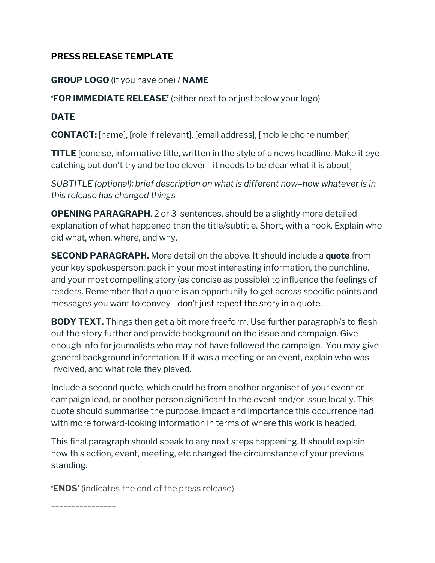### **PRESS RELEASE TEMPLATE**

#### **GROUP LOGO** (if you have one) / **NAME**

**'FOR IMMEDIATE RELEASE'** (either next to or just below your logo)

#### **DATE**

**CONTACT:** [name], [role if relevant], [email address], [mobile phone number]

**TITLE** [concise, informative title, written in the style of a news headline. Make it eyecatching but don't try and be too clever - it needs to be clear what it is about]

*SUBTITLE (optional): brief description on what is different now–how whatever is in this release has changed things*

**OPENING PARAGRAPH.** 2 or 3 sentences. should be a slightly more detailed explanation of what happened than the title/subtitle. Short, with a hook. Explain who did what, when, where, and why.

**SECOND PARAGRAPH.** More detail on the above. It should include a **quote** from your key spokesperson: pack in your most interesting information, the punchline, and your most compelling story (as concise as possible) to influence the feelings of readers. Remember that a quote is an opportunity to get across specific points and messages you want to convey - don't just repeat the story in a quote.

**BODY TEXT.** Things then get a bit more freeform. Use further paragraph/s to flesh out the story further and provide background on the issue and campaign. Give enough info for journalists who may not have followed the campaign. You may give general background information. If it was a meeting or an event, explain who was involved, and what role they played.

Include a second quote, which could be from another organiser of your event or campaign lead, or another person significant to the event and/or issue locally. This quote should summarise the purpose, impact and importance this occurrence had with more forward-looking information in terms of where this work is headed.

This final paragraph should speak to any next steps happening. It should explain how this action, event, meeting, etc changed the circumstance of your previous standing.

**'ENDS'** (indicates the end of the press release)

\_\_\_\_\_\_\_\_\_\_\_\_\_\_\_\_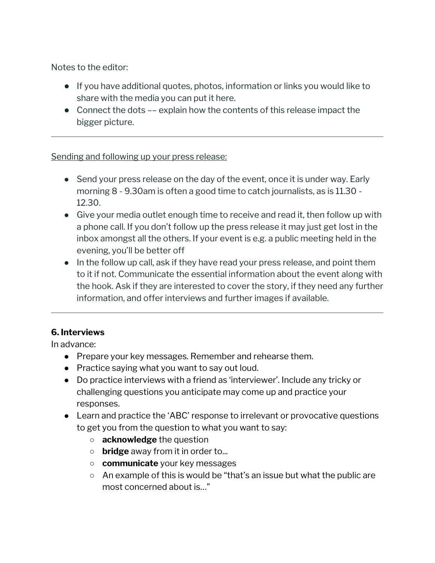Notes to the editor:

- If you have additional quotes, photos, information or links you would like to share with the media you can put it here.
- $\bullet$  Connect the dots  $-\bullet$  explain how the contents of this release impact the bigger picture.

#### Sending and following up your press release:

- Send your press release on the day of the event, once it is under way. Early morning 8 - 9.30am is often a good time to catch journalists, as is 11.30 - 12.30.
- Give your media outlet enough time to receive and read it, then follow up with a phone call. If you don't follow up the press release it may just get lost in the inbox amongst all the others. If your event is e.g. a public meeting held in the evening, you'll be better off
- In the follow up call, ask if they have read your press release, and point them to it if not. Communicate the essential information about the event along with the hook. Ask if they are interested to cover the story, if they need any further information, and offer interviews and further images if available.

## **6. Interviews**

In advance:

- Prepare your key messages. Remember and rehearse them.
- Practice saying what you want to say out loud.
- Do practice interviews with a friend as 'interviewer'. Include any tricky or challenging questions you anticipate may come up and practice your responses.
- Learn and practice the 'ABC' response to irrelevant or provocative questions to get you from the question to what you want to say:
	- **acknowledge** the question
	- **bridge** away from it in order to...
	- **communicate** your key messages
	- An example of this is would be "that's an issue but what the public are most concerned about is…"